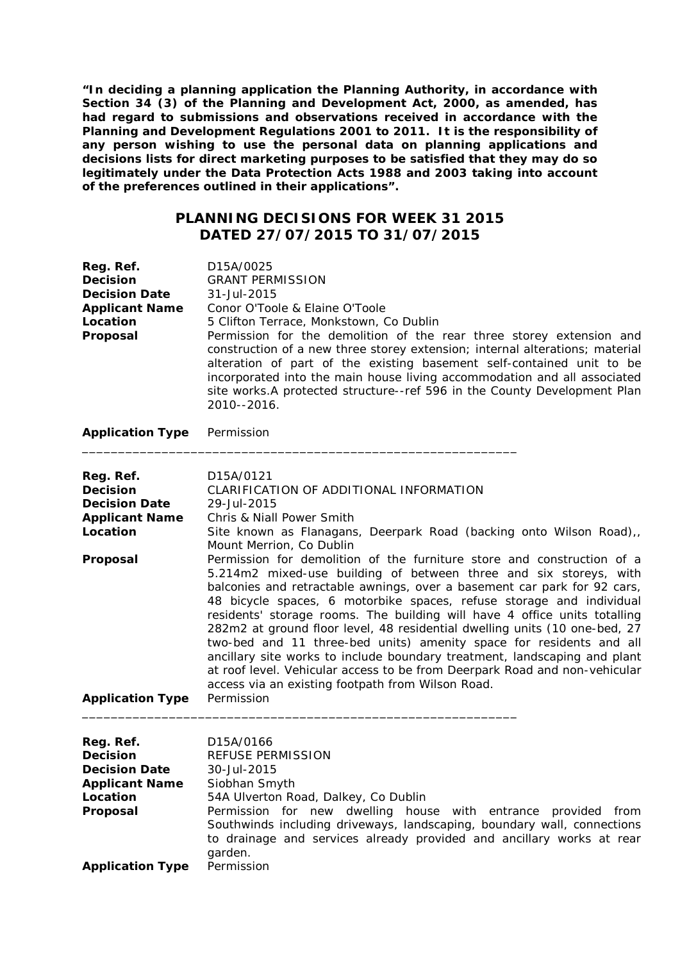**"In deciding a planning application the Planning Authority, in accordance with Section 34 (3) of the Planning and Development Act, 2000, as amended, has had regard to submissions and observations received in accordance with the Planning and Development Regulations 2001 to 2011. It is the responsibility of any person wishing to use the personal data on planning applications and decisions lists for direct marketing purposes to be satisfied that they may do so legitimately under the Data Protection Acts 1988 and 2003 taking into account of the preferences outlined in their applications".**

## **PLANNING DECISIONS FOR WEEK 31 2015 DATED 27/07/2015 TO 31/07/2015**

| Reg. Ref.<br><b>Decision</b><br><b>Decision Date</b><br><b>Applicant Name</b><br>Location<br>Proposal | D15A/0025<br><b>GRANT PERMISSION</b><br>31-Jul-2015<br>Conor O'Toole & Elaine O'Toole<br>5 Clifton Terrace, Monkstown, Co Dublin<br>Permission for the demolition of the rear three storey extension and<br>construction of a new three storey extension; internal alterations; material<br>alteration of part of the existing basement self-contained unit to be<br>incorporated into the main house living accommodation and all associated<br>site works.A protected structure--ref 596 in the County Development Plan<br>2010--2016.                                                                                                                                                                                                                                                                                                                                                                                                                 |
|-------------------------------------------------------------------------------------------------------|----------------------------------------------------------------------------------------------------------------------------------------------------------------------------------------------------------------------------------------------------------------------------------------------------------------------------------------------------------------------------------------------------------------------------------------------------------------------------------------------------------------------------------------------------------------------------------------------------------------------------------------------------------------------------------------------------------------------------------------------------------------------------------------------------------------------------------------------------------------------------------------------------------------------------------------------------------|
| <b>Application Type</b>                                                                               | Permission                                                                                                                                                                                                                                                                                                                                                                                                                                                                                                                                                                                                                                                                                                                                                                                                                                                                                                                                               |
| Reg. Ref.<br><b>Decision</b><br><b>Decision Date</b><br><b>Applicant Name</b><br>Location<br>Proposal | D15A/0121<br>CLARIFICATION OF ADDITIONAL INFORMATION<br>29-Jul-2015<br>Chris & Niall Power Smith<br>Site known as Flanagans, Deerpark Road (backing onto Wilson Road),,<br>Mount Merrion, Co Dublin<br>Permission for demolition of the furniture store and construction of a<br>5.214m2 mixed-use building of between three and six storeys, with<br>balconies and retractable awnings, over a basement car park for 92 cars,<br>48 bicycle spaces, 6 motorbike spaces, refuse storage and individual<br>residents' storage rooms. The building will have 4 office units totalling<br>282m2 at ground floor level, 48 residential dwelling units (10 one-bed, 27<br>two-bed and 11 three-bed units) amenity space for residents and all<br>ancillary site works to include boundary treatment, landscaping and plant<br>at roof level. Vehicular access to be from Deerpark Road and non-vehicular<br>access via an existing footpath from Wilson Road. |
| <b>Application Type</b>                                                                               | Permission                                                                                                                                                                                                                                                                                                                                                                                                                                                                                                                                                                                                                                                                                                                                                                                                                                                                                                                                               |

| Reg. Ref.<br><b>Decision</b> | D <sub>15</sub> A/0166<br><b>REFUSE PERMISSION</b>                                                                                                                                                                              |
|------------------------------|---------------------------------------------------------------------------------------------------------------------------------------------------------------------------------------------------------------------------------|
| <b>Decision Date</b>         | 30-Jul-2015                                                                                                                                                                                                                     |
| <b>Applicant Name</b>        | Siobhan Smyth                                                                                                                                                                                                                   |
| Location                     | 54A Ulverton Road, Dalkey, Co Dublin                                                                                                                                                                                            |
| Proposal                     | Permission for new dwelling house with entrance provided<br>from<br>Southwinds including driveways, landscaping, boundary wall, connections<br>to drainage and services already provided and ancillary works at rear<br>garden. |
| <b>Application Type</b>      | Permission                                                                                                                                                                                                                      |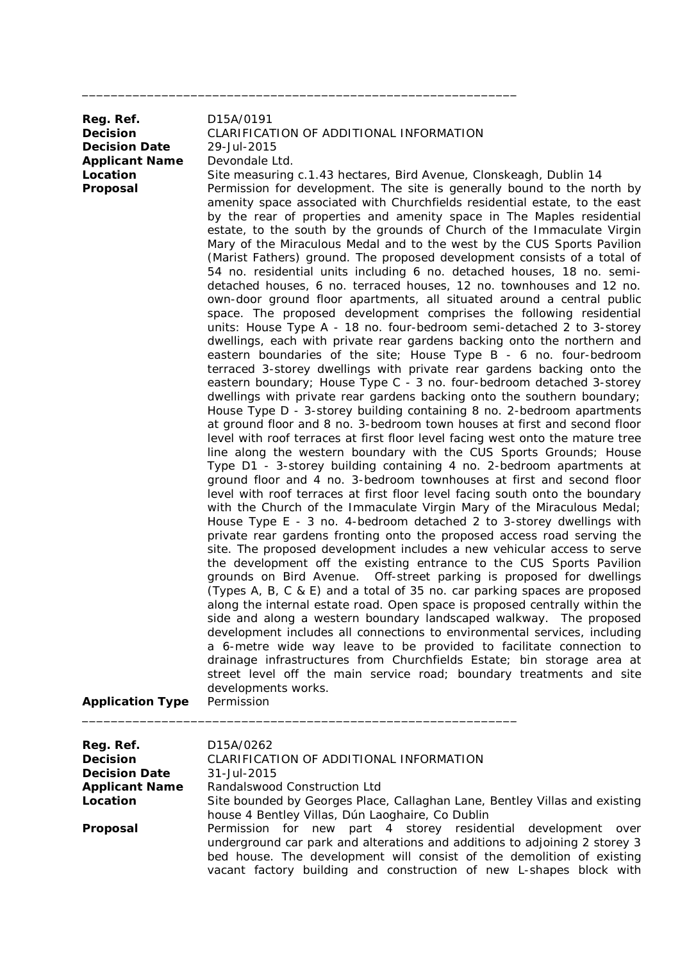| Reg. Ref.<br><b>Decision</b><br><b>Decision Date</b><br><b>Applicant Name</b><br>Location<br>Proposal | D15A/0191<br>CLARIFICATION OF ADDITIONAL INFORMATION<br>29-Jul-2015<br>Devondale Ltd.<br>Site measuring c.1.43 hectares, Bird Avenue, Clonskeagh, Dublin 14<br>Permission for development. The site is generally bound to the north by<br>amenity space associated with Churchfields residential estate, to the east<br>by the rear of properties and amenity space in The Maples residential<br>estate, to the south by the grounds of Church of the Immaculate Virgin<br>Mary of the Miraculous Medal and to the west by the CUS Sports Pavilion<br>(Marist Fathers) ground. The proposed development consists of a total of<br>54 no. residential units including 6 no. detached houses, 18 no. semi-<br>detached houses, 6 no. terraced houses, 12 no. townhouses and 12 no.<br>own-door ground floor apartments, all situated around a central public<br>space. The proposed development comprises the following residential<br>units: House Type A - 18 no. four-bedroom semi-detached 2 to 3-storey<br>dwellings, each with private rear gardens backing onto the northern and<br>eastern boundaries of the site; House Type B - 6 no. four-bedroom<br>terraced 3-storey dwellings with private rear gardens backing onto the<br>eastern boundary; House Type C - 3 no. four-bedroom detached 3-storey<br>dwellings with private rear gardens backing onto the southern boundary;<br>House Type D - 3-storey building containing 8 no. 2-bedroom apartments<br>at ground floor and 8 no. 3-bedroom town houses at first and second floor<br>level with roof terraces at first floor level facing west onto the mature tree<br>line along the western boundary with the CUS Sports Grounds; House<br>Type D1 - 3-storey building containing 4 no. 2-bedroom apartments at<br>ground floor and 4 no. 3-bedroom townhouses at first and second floor<br>level with roof terraces at first floor level facing south onto the boundary<br>with the Church of the Immaculate Virgin Mary of the Miraculous Medal;<br>House Type E - 3 no. 4-bedroom detached 2 to 3-storey dwellings with<br>private rear gardens fronting onto the proposed access road serving the<br>site. The proposed development includes a new vehicular access to serve<br>the development off the existing entrance to the CUS Sports Pavilion<br>grounds on Bird Avenue.  Off-street parking is proposed for dwellings<br>(Types A, B, C & E) and a total of 35 no. car parking spaces are proposed<br>along the internal estate road. Open space is proposed centrally within the<br>side and along a western boundary landscaped walkway. The proposed<br>development includes all connections to environmental services, including<br>a 6-metre wide way leave to be provided to facilitate connection to<br>drainage infrastructures from Churchfields Estate; bin storage area at<br>street level off the main service road; boundary treatments and site<br>developments works.<br>Permission |
|-------------------------------------------------------------------------------------------------------|--------------------------------------------------------------------------------------------------------------------------------------------------------------------------------------------------------------------------------------------------------------------------------------------------------------------------------------------------------------------------------------------------------------------------------------------------------------------------------------------------------------------------------------------------------------------------------------------------------------------------------------------------------------------------------------------------------------------------------------------------------------------------------------------------------------------------------------------------------------------------------------------------------------------------------------------------------------------------------------------------------------------------------------------------------------------------------------------------------------------------------------------------------------------------------------------------------------------------------------------------------------------------------------------------------------------------------------------------------------------------------------------------------------------------------------------------------------------------------------------------------------------------------------------------------------------------------------------------------------------------------------------------------------------------------------------------------------------------------------------------------------------------------------------------------------------------------------------------------------------------------------------------------------------------------------------------------------------------------------------------------------------------------------------------------------------------------------------------------------------------------------------------------------------------------------------------------------------------------------------------------------------------------------------------------------------------------------------------------------------------------------------------------------------------------------------------------------------------------------------------------------------------------------------------------------------------------------------------------------------------------------------------------------------------------------------------------------------------------------------------------------------------------------------------------------------------------------------------------------------------------------------------------------------------------------------------------------------------------|
| <b>Application Type</b>                                                                               |                                                                                                                                                                                                                                                                                                                                                                                                                                                                                                                                                                                                                                                                                                                                                                                                                                                                                                                                                                                                                                                                                                                                                                                                                                                                                                                                                                                                                                                                                                                                                                                                                                                                                                                                                                                                                                                                                                                                                                                                                                                                                                                                                                                                                                                                                                                                                                                                                                                                                                                                                                                                                                                                                                                                                                                                                                                                                                                                                                                |

\_\_\_\_\_\_\_\_\_\_\_\_\_\_\_\_\_\_\_\_\_\_\_\_\_\_\_\_\_\_\_\_\_\_\_\_\_\_\_\_\_\_\_\_\_\_\_\_\_\_\_\_\_\_\_\_\_\_\_\_

| Reg. Ref.             | D <sub>15</sub> A/0262                                                     |
|-----------------------|----------------------------------------------------------------------------|
| <b>Decision</b>       | CLARIFICATION OF ADDITIONAL INFORMATION                                    |
| <b>Decision Date</b>  | 31-Jul-2015                                                                |
| <b>Applicant Name</b> | Randalswood Construction Ltd                                               |
| Location              | Site bounded by Georges Place, Callaghan Lane, Bentley Villas and existing |
|                       | house 4 Bentley Villas, Dún Laoghaire, Co Dublin                           |
| Proposal              | Permission for new part 4 storey residential development<br>over           |
|                       | underground car park and alterations and additions to adjoining 2 storey 3 |
|                       | bed house. The development will consist of the demolition of existing      |
|                       | vacant factory building and construction of new L-shapes block with        |
|                       |                                                                            |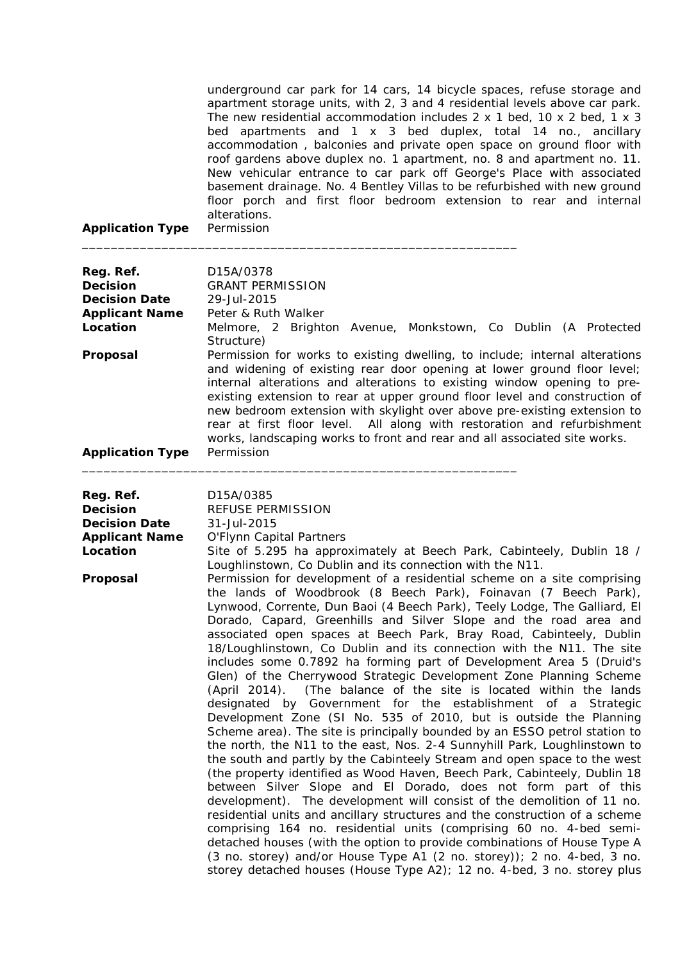underground car park for 14 cars, 14 bicycle spaces, refuse storage and apartment storage units, with 2, 3 and 4 residential levels above car park. The new residential accommodation includes 2 x 1 bed, 10 x 2 bed, 1 x 3 bed apartments and 1 x 3 bed duplex, total 14 no., ancillary accommodation , balconies and private open space on ground floor with roof gardens above duplex no. 1 apartment, no. 8 and apartment no. 11. New vehicular entrance to car park off George's Place with associated basement drainage. No. 4 Bentley Villas to be refurbished with new ground floor porch and first floor bedroom extension to rear and internal alterations.

**Application Type** Permission

| Reg. Ref.<br><b>Decision</b><br><b>Decision Date</b><br><b>Applicant Name</b><br>Location<br>Proposal<br><b>Application Type</b> | D15A/0378<br><b>GRANT PERMISSION</b><br>29-Jul-2015<br>Peter & Ruth Walker<br>Melmore, 2 Brighton Avenue, Monkstown, Co Dublin (A Protected<br>Structure)<br>Permission for works to existing dwelling, to include; internal alterations<br>and widening of existing rear door opening at lower ground floor level;<br>internal alterations and alterations to existing window opening to pre-<br>existing extension to rear at upper ground floor level and construction of<br>new bedroom extension with skylight over above pre-existing extension to<br>rear at first floor level. All along with restoration and refurbishment<br>works, landscaping works to front and rear and all associated site works.<br>Permission                                                                                                                                                                                                                                                                                                                                                                                                                                                                                                                                                                                                                                                                                                                                                                                                                                                                                                                                                                                                                                                                              |
|----------------------------------------------------------------------------------------------------------------------------------|-------------------------------------------------------------------------------------------------------------------------------------------------------------------------------------------------------------------------------------------------------------------------------------------------------------------------------------------------------------------------------------------------------------------------------------------------------------------------------------------------------------------------------------------------------------------------------------------------------------------------------------------------------------------------------------------------------------------------------------------------------------------------------------------------------------------------------------------------------------------------------------------------------------------------------------------------------------------------------------------------------------------------------------------------------------------------------------------------------------------------------------------------------------------------------------------------------------------------------------------------------------------------------------------------------------------------------------------------------------------------------------------------------------------------------------------------------------------------------------------------------------------------------------------------------------------------------------------------------------------------------------------------------------------------------------------------------------------------------------------------------------------------------------------------------------|
| Reg. Ref.<br><b>Decision</b><br><b>Decision Date</b><br><b>Applicant Name</b><br>Location<br>Proposal                            | D15A/0385<br>REFUSE PERMISSION<br>31-Jul-2015<br>O'Flynn Capital Partners<br>Site of 5.295 ha approximately at Beech Park, Cabinteely, Dublin 18 /<br>Loughlinstown, Co Dublin and its connection with the N11.<br>Permission for development of a residential scheme on a site comprising<br>the lands of Woodbrook (8 Beech Park), Foinavan (7 Beech Park),<br>Lynwood, Corrente, Dun Baoi (4 Beech Park), Teely Lodge, The Galliard, El<br>Dorado, Capard, Greenhills and Silver Slope and the road area and<br>associated open spaces at Beech Park, Bray Road, Cabinteely, Dublin<br>18/Loughlinstown, Co Dublin and its connection with the N11. The site<br>includes some 0.7892 ha forming part of Development Area 5 (Druid's<br>Glen) of the Cherrywood Strategic Development Zone Planning Scheme<br>(The balance of the site is located within the lands<br>(April 2014).<br>designated by Government for the establishment of a<br>Strategic<br>Development Zone (SI No. 535 of 2010, but is outside the Planning<br>Scheme area). The site is principally bounded by an ESSO petrol station to<br>the north, the N11 to the east, Nos. 2-4 Sunnyhill Park, Loughlinstown to<br>the south and partly by the Cabinteely Stream and open space to the west<br>(the property identified as Wood Haven, Beech Park, Cabinteely, Dublin 18<br>between Silver Slope and El Dorado, does not form part of this<br>development). The development will consist of the demolition of 11 no.<br>residential units and ancillary structures and the construction of a scheme<br>comprising 164 no. residential units (comprising 60 no. 4-bed semi-<br>detached houses (with the option to provide combinations of House Type A<br>(3 no. storey) and/or House Type A1 (2 no. storey)); 2 no. 4-bed, 3 no. |

storey detached houses (House Type A2); 12 no. 4-bed, 3 no. storey plus

\_\_\_\_\_\_\_\_\_\_\_\_\_\_\_\_\_\_\_\_\_\_\_\_\_\_\_\_\_\_\_\_\_\_\_\_\_\_\_\_\_\_\_\_\_\_\_\_\_\_\_\_\_\_\_\_\_\_\_\_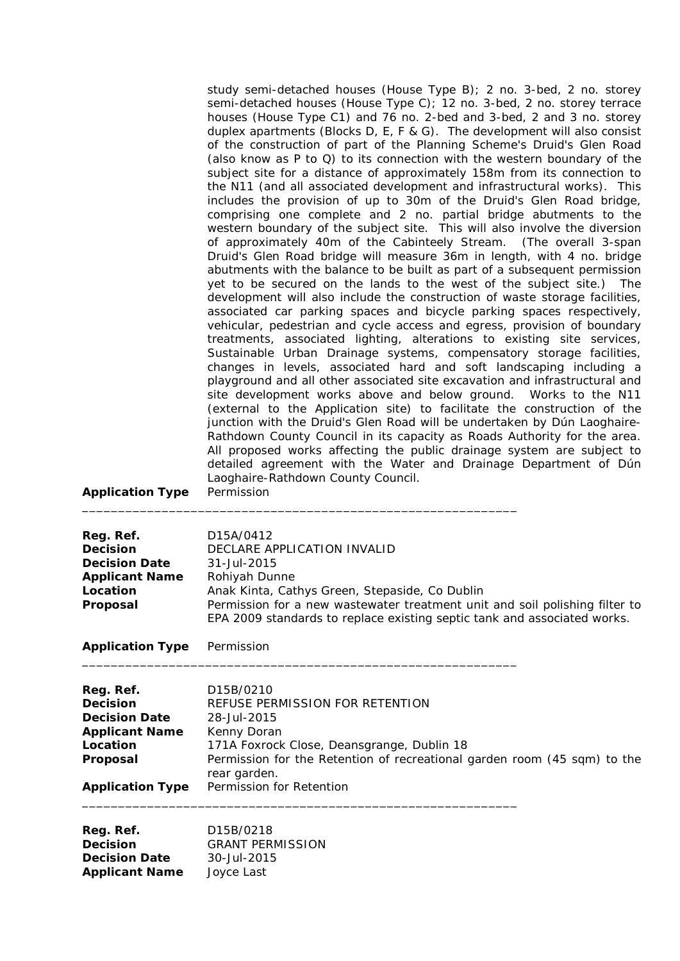| study semi-detached houses (House Type B); 2 no. 3-bed, 2 no. storey<br>semi-detached houses (House Type C); 12 no. 3-bed, 2 no. storey terrace<br>houses (House Type C1) and 76 no. 2-bed and 3-bed, 2 and 3 no. storey |
|--------------------------------------------------------------------------------------------------------------------------------------------------------------------------------------------------------------------------|
| duplex apartments (Blocks D, E, F & G). The development will also consist                                                                                                                                                |
| of the construction of part of the Planning Scheme's Druid's Glen Road                                                                                                                                                   |
| (also know as P to Q) to its connection with the western boundary of the                                                                                                                                                 |
| subject site for a distance of approximately 158m from its connection to                                                                                                                                                 |
| the N11 (and all associated development and infrastructural works). This                                                                                                                                                 |
| includes the provision of up to 30m of the Druid's Glen Road bridge,                                                                                                                                                     |
| comprising one complete and 2 no. partial bridge abutments to the                                                                                                                                                        |
| western boundary of the subject site. This will also involve the diversion                                                                                                                                               |
| of approximately 40m of the Cabinteely Stream. (The overall 3-span                                                                                                                                                       |
| Druid's Glen Road bridge will measure 36m in length, with 4 no. bridge                                                                                                                                                   |
| abutments with the balance to be built as part of a subsequent permission                                                                                                                                                |
| yet to be secured on the lands to the west of the subject site.) The                                                                                                                                                     |
| development will also include the construction of waste storage facilities,                                                                                                                                              |
| associated car parking spaces and bicycle parking spaces respectively,                                                                                                                                                   |
| vehicular, pedestrian and cycle access and egress, provision of boundary                                                                                                                                                 |
| treatments, associated lighting, alterations to existing site services,                                                                                                                                                  |
| Sustainable Urban Drainage systems, compensatory storage facilities,                                                                                                                                                     |
| changes in levels, associated hard and soft landscaping including a                                                                                                                                                      |
| playground and all other associated site excavation and infrastructural and                                                                                                                                              |
| site development works above and below ground. Works to the N11                                                                                                                                                          |
| (external to the Application site) to facilitate the construction of the                                                                                                                                                 |
| junction with the Druid's Glen Road will be undertaken by Dún Laoghaire-                                                                                                                                                 |
| Rathdown County Council in its capacity as Roads Authority for the area.                                                                                                                                                 |
| All proposed works affecting the public drainage system are subject to                                                                                                                                                   |
| detailed agreement with the Water and Drainage Department of Dún                                                                                                                                                         |
| Laoghaire-Rathdown County Council.                                                                                                                                                                                       |
| Permission                                                                                                                                                                                                               |

| Reg. Ref.             | D <sub>15</sub> A/0412                                                      |
|-----------------------|-----------------------------------------------------------------------------|
| <b>Decision</b>       | DECLARE APPLICATION INVALID                                                 |
| <b>Decision Date</b>  | $31 -$ Jul - 2015                                                           |
| <b>Applicant Name</b> | Rohiyah Dunne                                                               |
| Location              | Anak Kinta, Cathys Green, Stepaside, Co Dublin                              |
| Proposal              | Permission for a new wastewater treatment unit and soil polishing filter to |
|                       | EPA 2009 standards to replace existing septic tank and associated works.    |

\_\_\_\_\_\_\_\_\_\_\_\_\_\_\_\_\_\_\_\_\_\_\_\_\_\_\_\_\_\_\_\_\_\_\_\_\_\_\_\_\_\_\_\_\_\_\_\_\_\_\_\_\_\_\_\_\_\_\_\_

\_\_\_\_\_\_\_\_\_\_\_\_\_\_\_\_\_\_\_\_\_\_\_\_\_\_\_\_\_\_\_\_\_\_\_\_\_\_\_\_\_\_\_\_\_\_\_\_\_\_\_\_\_\_\_\_\_\_\_\_

**Application Type** Permission

**Application Type** 

| Reg. Ref.               | D <sub>15</sub> B/0210                                                                   |
|-------------------------|------------------------------------------------------------------------------------------|
| <b>Decision</b>         | REFUSE PERMISSION FOR RETENTION                                                          |
| <b>Decision Date</b>    | 28-Jul-2015                                                                              |
| <b>Applicant Name</b>   | Kenny Doran                                                                              |
| Location                | 171A Foxrock Close, Deansgrange, Dublin 18                                               |
| Proposal                | Permission for the Retention of recreational garden room (45 sqm) to the<br>rear garden. |
| <b>Application Type</b> | Permission for Retention                                                                 |

| Reg. Ref.             | D <sub>15</sub> B/0218  |
|-----------------------|-------------------------|
| <b>Decision</b>       | <b>GRANT PERMISSION</b> |
| <b>Decision Date</b>  | 30-Jul-2015             |
| <b>Applicant Name</b> | Joyce Last              |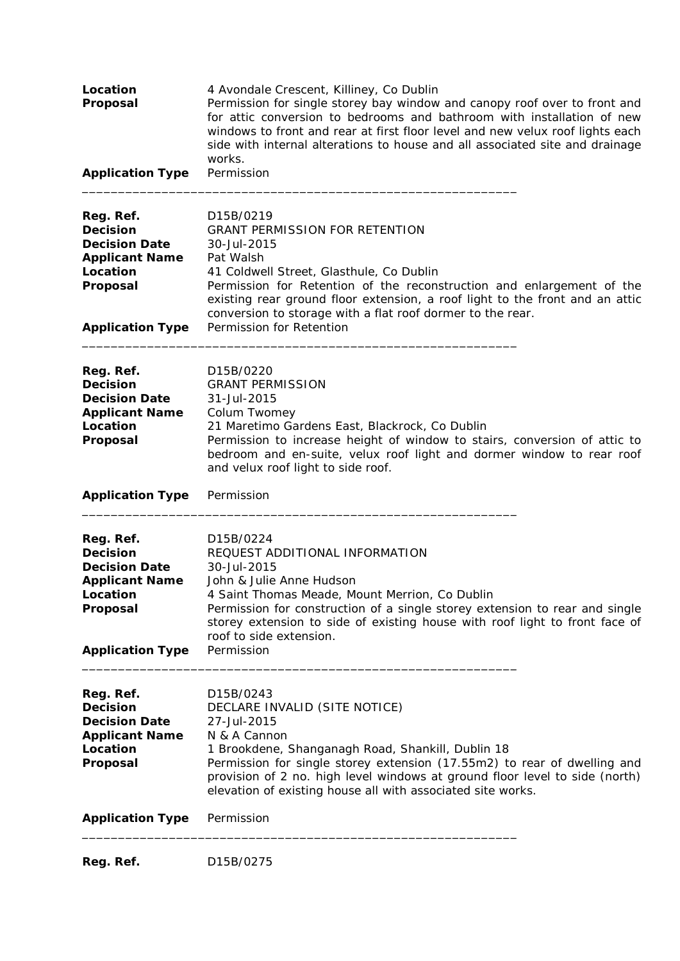| Location<br>Proposal                                                                                                             | 4 Avondale Crescent, Killiney, Co Dublin<br>Permission for single storey bay window and canopy roof over to front and<br>for attic conversion to bedrooms and bathroom with installation of new<br>windows to front and rear at first floor level and new velux roof lights each<br>side with internal alterations to house and all associated site and drainage<br>works.    |
|----------------------------------------------------------------------------------------------------------------------------------|-------------------------------------------------------------------------------------------------------------------------------------------------------------------------------------------------------------------------------------------------------------------------------------------------------------------------------------------------------------------------------|
| <b>Application Type</b>                                                                                                          | Permission                                                                                                                                                                                                                                                                                                                                                                    |
| Reg. Ref.<br><b>Decision</b><br><b>Decision Date</b><br><b>Applicant Name</b><br>Location<br>Proposal<br><b>Application Type</b> | D15B/0219<br><b>GRANT PERMISSION FOR RETENTION</b><br>30-Jul-2015<br>Pat Walsh<br>41 Coldwell Street, Glasthule, Co Dublin<br>Permission for Retention of the reconstruction and enlargement of the<br>existing rear ground floor extension, a roof light to the front and an attic<br>conversion to storage with a flat roof dormer to the rear.<br>Permission for Retention |
| Reg. Ref.<br><b>Decision</b><br><b>Decision Date</b><br><b>Applicant Name</b><br>Location<br>Proposal                            | D15B/0220<br><b>GRANT PERMISSION</b><br>31-Jul-2015<br>Colum Twomey<br>21 Maretimo Gardens East, Blackrock, Co Dublin<br>Permission to increase height of window to stairs, conversion of attic to<br>bedroom and en-suite, velux roof light and dormer window to rear roof<br>and velux roof light to side roof.                                                             |
| <b>Application Type</b>                                                                                                          | Permission                                                                                                                                                                                                                                                                                                                                                                    |
| Reg. Ref.<br><b>Decision</b><br><b>Decision Date</b><br><b>Applicant Name</b><br>Location<br>Proposal<br><b>Application Type</b> | D15B/0224<br>REQUEST ADDITIONAL INFORMATION<br>30-Jul-2015<br>John & Julie Anne Hudson<br>4 Saint Thomas Meade, Mount Merrion, Co Dublin<br>Permission for construction of a single storey extension to rear and single<br>storey extension to side of existing house with roof light to front face of<br>roof to side extension.<br>Permission                               |
| Reg. Ref.<br><b>Decision</b><br><b>Decision Date</b><br><b>Applicant Name</b><br>Location<br>Proposal                            | D15B/0243<br>DECLARE INVALID (SITE NOTICE)<br>27-Jul-2015<br>N & A Cannon<br>1 Brookdene, Shanganagh Road, Shankill, Dublin 18<br>Permission for single storey extension (17.55m2) to rear of dwelling and<br>provision of 2 no. high level windows at ground floor level to side (north)<br>elevation of existing house all with associated site works.                      |
| <b>Application Type</b>                                                                                                          | Permission                                                                                                                                                                                                                                                                                                                                                                    |
| Reg. Ref.                                                                                                                        | D15B/0275                                                                                                                                                                                                                                                                                                                                                                     |